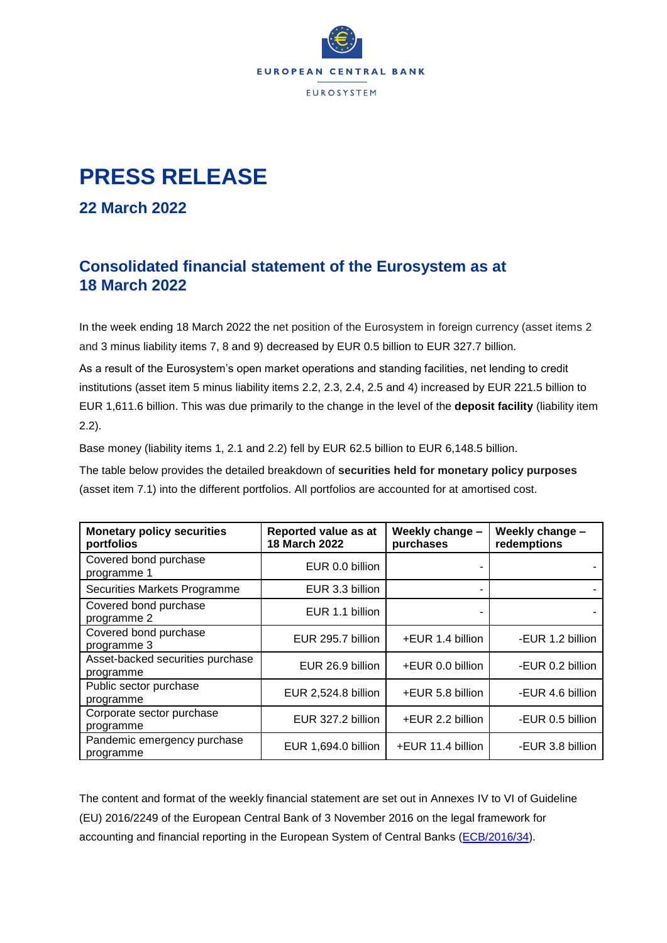

## **PRESS RELEASE**

## **22 March 2022**

## **Consolidated financial statement of the Eurosystem as at 18 March 2022**

In the week ending 18 March 2022 the net position of the Eurosystem in foreign currency (asset items 2 and 3 minus liability items 7, 8 and 9) decreased by EUR 0.5 billion to EUR 327.7 billion.

As a result of the Eurosystem's open market operations and standing facilities, net lending to credit institutions (asset item 5 minus liability items 2.2, 2.3, 2.4, 2.5 and 4) increased by EUR 221.5 billion to EUR 1,611.6 billion. This was due primarily to the change in the level of the **deposit facility** (liability item 2.2).

Base money (liability items 1, 2.1 and 2.2) fell by EUR 62.5 billion to EUR 6,148.5 billion.

The table below provides the detailed breakdown of **securities held for monetary policy purposes** (asset item 7.1) into the different portfolios. All portfolios are accounted for at amortised cost.

| <b>Monetary policy securities</b><br>portfolios | Reported value as at<br>18 March 2022 | Weekly change -<br>purchases | Weekly change -<br>redemptions |
|-------------------------------------------------|---------------------------------------|------------------------------|--------------------------------|
| Covered bond purchase<br>programme 1            | EUR 0.0 billion                       |                              |                                |
| Securities Markets Programme                    | EUR 3.3 billion                       |                              |                                |
| Covered bond purchase<br>programme 2            | EUR 1.1 billion                       |                              |                                |
| Covered bond purchase<br>programme 3            | EUR 295.7 billion                     | +EUR 1.4 billion             | -EUR 1.2 billion               |
| Asset-backed securities purchase<br>programme   | EUR 26.9 billion                      | +EUR 0.0 billion             | -EUR 0.2 billion               |
| Public sector purchase<br>programme             | EUR 2,524.8 billion                   | +EUR 5.8 billion             | -EUR 4.6 billion               |
| Corporate sector purchase<br>programme          | EUR 327.2 billion                     | +EUR 2.2 billion             | -EUR 0.5 billion               |
| Pandemic emergency purchase<br>programme        | EUR 1,694.0 billion                   | +EUR 11.4 billion            | -EUR 3.8 billion               |

The content and format of the weekly financial statement are set out in Annexes IV to VI of Guideline (EU) 2016/2249 of the European Central Bank of 3 November 2016 on the legal framework for accounting and financial reporting in the European System of Central Banks [\(ECB/2016/34\)](https://eur-lex.europa.eu/legal-content/EN/TXT/?qid=1599130224518&uri=CELEX:32016O0034).